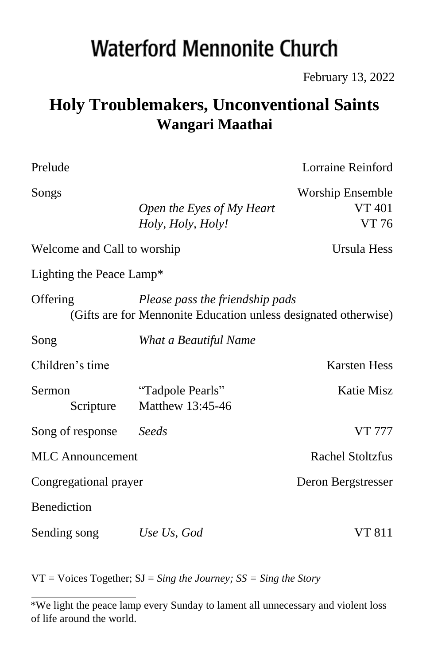# **Waterford Mennonite Church**

February 13, 2022

## **Holy Troublemakers, Unconventional Saints Wangari Maathai**

| Prelude                                                                                                        |                                                | Lorraine Reinford                          |  |  |  |
|----------------------------------------------------------------------------------------------------------------|------------------------------------------------|--------------------------------------------|--|--|--|
| Songs                                                                                                          | Open the Eyes of My Heart<br>Holy, Holy, Holy! | Worship Ensemble<br><b>VT 401</b><br>VT 76 |  |  |  |
| Welcome and Call to worship                                                                                    |                                                | Ursula Hess                                |  |  |  |
| Lighting the Peace Lamp*                                                                                       |                                                |                                            |  |  |  |
| Please pass the friendship pads<br>Offering<br>(Gifts are for Mennonite Education unless designated otherwise) |                                                |                                            |  |  |  |
| Song                                                                                                           | What a Beautiful Name                          |                                            |  |  |  |
| Children's time                                                                                                |                                                | <b>Karsten Hess</b>                        |  |  |  |
| Sermon<br>Scripture                                                                                            | "Tadpole Pearls"<br>Matthew 13:45-46           | <b>Katie Misz</b>                          |  |  |  |
| Song of response                                                                                               | Seeds                                          | <b>VT 777</b>                              |  |  |  |
| <b>MLC</b> Announcement                                                                                        |                                                | Rachel Stoltzfus                           |  |  |  |
| Congregational prayer                                                                                          |                                                | Deron Bergstresser                         |  |  |  |
| <b>Benediction</b>                                                                                             |                                                |                                            |  |  |  |
| Sending song                                                                                                   | Use Us, God                                    | VT 811                                     |  |  |  |

VT = Voices Together; SJ = *Sing the Journey; SS = Sing the Story* 

<sup>\*</sup>We light the peace lamp every Sunday to lament all unnecessary and violent loss of life around the world.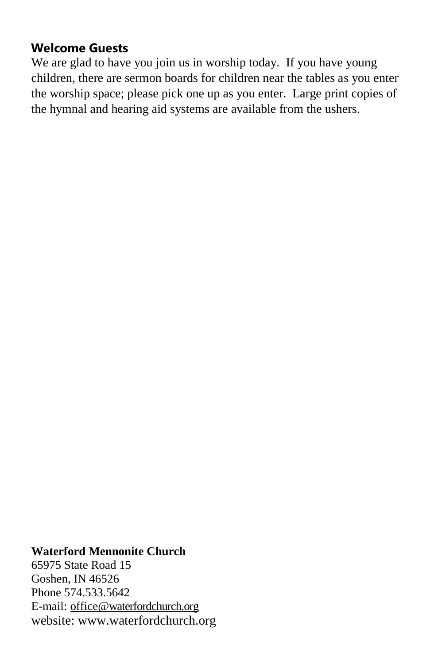#### **Welcome Guests**

We are glad to have you join us in worship today. If you have young children, there are sermon boards for children near the tables as you enter the worship space; please pick one up as you enter. Large print copies of the hymnal and hearing aid systems are available from the ushers.

#### **Waterford Mennonite Church**

65975 State Road 15 Goshen, IN 46526 Phone 574.533.5642 E-mail: [office@waterfordchurch.org](mailto:office@waterfordchurch.org) website: [www.waterfordchurch.org](http://www.waterfordchurch.org/)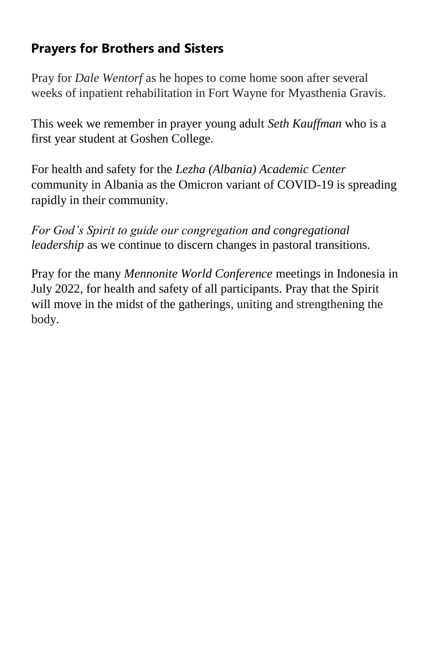#### **Prayers for Brothers and Sisters**

Pray for *Dale Wentorf* as he hopes to come home soon after several weeks of inpatient rehabilitation in Fort Wayne for Myasthenia Gravis.

This week we remember in prayer young adult *Seth Kauffman* who is a first year student at Goshen College.

For health and safety for the *Lezha (Albania) Academic Center* community in Albania as the Omicron variant of COVID-19 is spreading rapidly in their community.

*For God's Spirit to guide our congregation and congregational leadership* as we continue to discern changes in pastoral transitions.

Pray for the many *Mennonite World Conference* meetings in Indonesia in July 2022, for health and safety of all participants. Pray that the Spirit will move in the midst of the gatherings, uniting and strengthening the body.